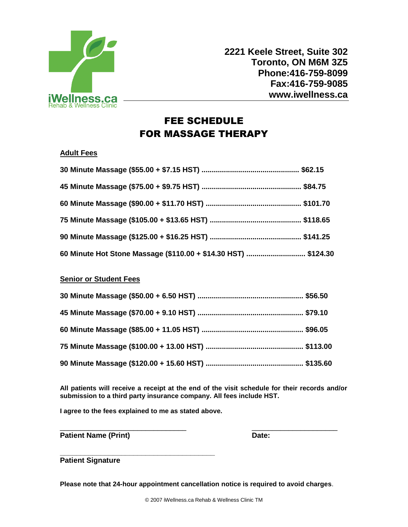

 **2221 Keele Street, Suite 302 Toronto, ON M6M 3Z5 Phone:416-759-8099 Fax:416-759-9085 www.iwellness.ca**

## FEE SCHEDULE FOR MASSAGE THERAPY

#### **Adult Fees**

| 60 Minute Hot Stone Massage (\$110.00 + \$14.30 HST)  \$124.30 |  |
|----------------------------------------------------------------|--|

#### **Senior or Student Fees**

**All patients will receive a receipt at the end of the visit schedule for their records and/or submission to a third party insurance company. All fees include HST.**

**I agree to the fees explained to me as stated above.** 

\_\_\_\_\_\_\_\_\_\_\_\_\_\_\_\_\_\_\_\_\_\_\_\_\_\_\_\_\_\_\_ \_\_\_\_\_\_\_\_\_\_\_\_\_\_\_\_\_\_\_\_\_ Patient Name (Print) **Date: Date: Date:** 

**\_\_\_\_\_\_\_\_\_\_\_\_\_\_\_\_\_\_\_\_\_\_\_\_\_\_\_\_\_\_\_\_\_\_\_\_\_\_ Patient Signature**

**Please note that 24-hour appointment cancellation notice is required to avoid charges**.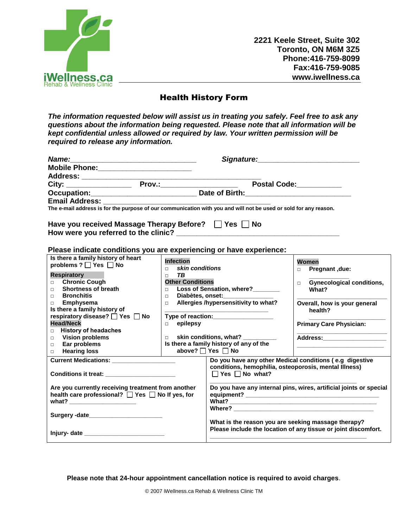

**2221 Keele Street, Suite 302 Toronto, ON M6M 3Z5 Phone:416-759-8099 Fax:416-759-9085 www.iwellness.ca**

### Health History Form

*The information requested below will assist us in treating you safely. Feel free to ask any questions about the information being requested. Please note that all information will be kept confidential unless allowed or required by law. Your written permission will be required to release any information.*

|                                                                                                                  | Signature: the contract of the contract of the contract of the contract of the contract of the contract of the |                                                                                     |                                                                |  |
|------------------------------------------------------------------------------------------------------------------|----------------------------------------------------------------------------------------------------------------|-------------------------------------------------------------------------------------|----------------------------------------------------------------|--|
|                                                                                                                  |                                                                                                                |                                                                                     |                                                                |  |
|                                                                                                                  |                                                                                                                |                                                                                     |                                                                |  |
|                                                                                                                  |                                                                                                                |                                                                                     | Postal Code:____________                                       |  |
|                                                                                                                  |                                                                                                                |                                                                                     |                                                                |  |
| <b>Email Address:</b>                                                                                            |                                                                                                                |                                                                                     |                                                                |  |
| The e-mail address is for the purpose of our communication with you and will not be used or sold for any reason. |                                                                                                                |                                                                                     |                                                                |  |
| Have you received Massage Therapy Before?   Yes   No                                                             |                                                                                                                |                                                                                     |                                                                |  |
| Please indicate conditions you are experiencing or have experience:                                              |                                                                                                                |                                                                                     |                                                                |  |
| Is there a family history of heart<br>problems ? □ Yes □ No                                                      | <b>Infection</b>                                                                                               |                                                                                     | Women                                                          |  |
|                                                                                                                  | skin conditions<br>$\Box$                                                                                      |                                                                                     | Pregnant, due:<br>$\Box$                                       |  |
| Respiratory                                                                                                      | TR.<br>$\Box$                                                                                                  |                                                                                     |                                                                |  |
| <b>Chronic Cough</b><br>$\Box$                                                                                   | <b>Other Conditions</b><br>$\Box$                                                                              |                                                                                     | <b>Gynecological conditions,</b>                               |  |
| <b>Shortness of breath</b><br>$\Box$                                                                             | Loss of Sensation, where?<br>What?                                                                             |                                                                                     |                                                                |  |
| <b>Bronchitis</b><br>$\Box$                                                                                      | $\Box$                                                                                                         |                                                                                     |                                                                |  |
| Emphysema<br>$\Box$                                                                                              | Allergies /hypersensitivity to what?<br>$\Box$                                                                 |                                                                                     | Overall, how is your general                                   |  |
| Is there a family history of                                                                                     |                                                                                                                |                                                                                     | health?                                                        |  |
| respiratory disease? □ Yes □ No                                                                                  |                                                                                                                | Type of reaction:                                                                   |                                                                |  |
| <b>Head/Neck</b>                                                                                                 | <b>D</b> epilepsy                                                                                              |                                                                                     | <b>Primary Care Physician:</b>                                 |  |
| <b>History of headaches</b><br>П.                                                                                | $\Box$                                                                                                         | skin conditions, what?                                                              |                                                                |  |
| <b>Vision problems</b><br>$\Box$                                                                                 |                                                                                                                | Is there a family history of any of the                                             |                                                                |  |
| Ear problems<br>$\Box$<br><b>Hearing loss</b>                                                                    |                                                                                                                | above? TYes TNo                                                                     |                                                                |  |
| П.                                                                                                               |                                                                                                                |                                                                                     |                                                                |  |
| Current Medications: ____________________                                                                        |                                                                                                                | conditions, hemophilia, osteoporosis, mental Illness)<br>$\Box$ Yes $\Box$ No what? | Do you have any other Medical conditions (e.g digestive        |  |
| Are you currently receiving treatment from another<br>health care professional? Øres D No If yes, for            |                                                                                                                | Do you have any internal pins, wires, artificial joints or special                  |                                                                |  |
|                                                                                                                  |                                                                                                                |                                                                                     |                                                                |  |
| Surgery -date_________________________                                                                           |                                                                                                                |                                                                                     |                                                                |  |
|                                                                                                                  |                                                                                                                | What is the reason you are seeking massage therapy?                                 | Please include the location of any tissue or joint discomfort. |  |

**Please note that 24-hour appointment cancellation notice is required to avoid charges**.